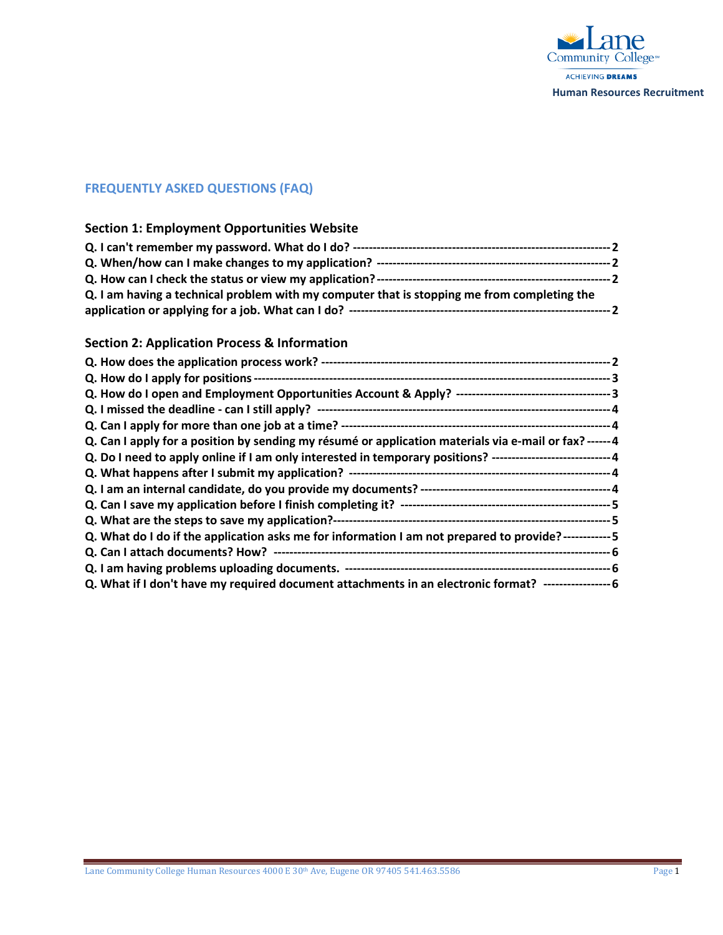

# **FREQUENTLY ASKED QUESTIONS (FAQ)**

#### **Section 1: Employment Opportunities Website**

| Q. I am having a technical problem with my computer that is stopping me from completing the |  |
|---------------------------------------------------------------------------------------------|--|
|                                                                                             |  |

#### **Section 2: Application Process & Information**

| Q. Can I apply for a position by sending my résumé or application materials via e-mail or fax? ------ 4     |  |
|-------------------------------------------------------------------------------------------------------------|--|
| Q. Do I need to apply online if I am only interested in temporary positions? -----------------------------4 |  |
|                                                                                                             |  |
|                                                                                                             |  |
|                                                                                                             |  |
|                                                                                                             |  |
| Q. What do I do if the application asks me for information I am not prepared to provide?------------ 5      |  |
|                                                                                                             |  |
|                                                                                                             |  |
| Q. What if I don't have my required document attachments in an electronic format? ------------------ 6      |  |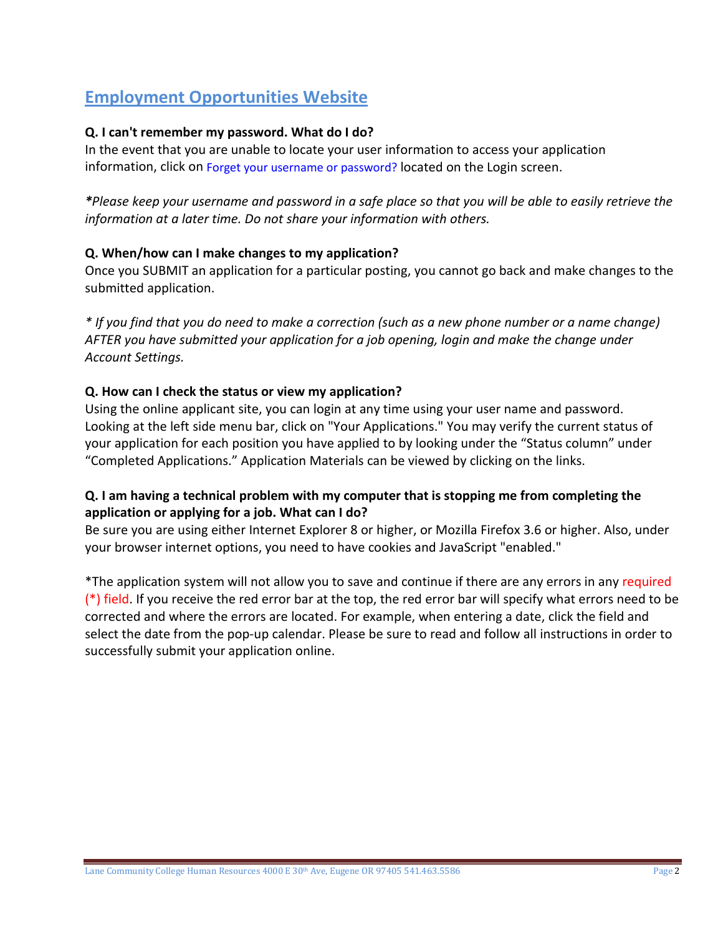# **Employment Opportunities Website**

# **Q. I can't remember my password. What do I do?**

In the event that you are unable to locate your user information to access your application information, click on Forget your username or password? located on the Login screen.

*\*Please keep your username and password in a safe place so that you will be able to easily retrieve the information at a later time. Do not share your information with others.*

#### **Q. When/how can I make changes to my application?**

Once you SUBMIT an application for a particular posting, you cannot go back and make changes to the submitted application.

*\* If you find that you do need to make a correction (such as a new phone number or a name change) AFTER you have submitted your application for a job opening, login and make the change under Account Settings.*

#### **Q. How can I check the status or view my application?**

Using the online applicant site, you can login at any time using your user name and password. Looking at the left side menu bar, click on "Your Applications." You may verify the current status of your application for each position you have applied to by looking under the "Status column" under "Completed Applications." Application Materials can be viewed by clicking on the links.

#### **Q. I am having a technical problem with my computer that is stopping me from completing the application or applying for a job. What can I do?**

Be sure you are using either Internet Explorer 8 or higher, or Mozilla Firefox 3.6 or higher. Also, under your browser internet options, you need to have cookies and JavaScript "enabled."

\*The application system will not allow you to save and continue if there are any errors in any required (\*) field. If you receive the red error bar at the top, the red error bar will specify what errors need to be corrected and where the errors are located. For example, when entering a date, click the field and select the date from the pop-up calendar. Please be sure to read and follow all instructions in order to successfully submit your application online.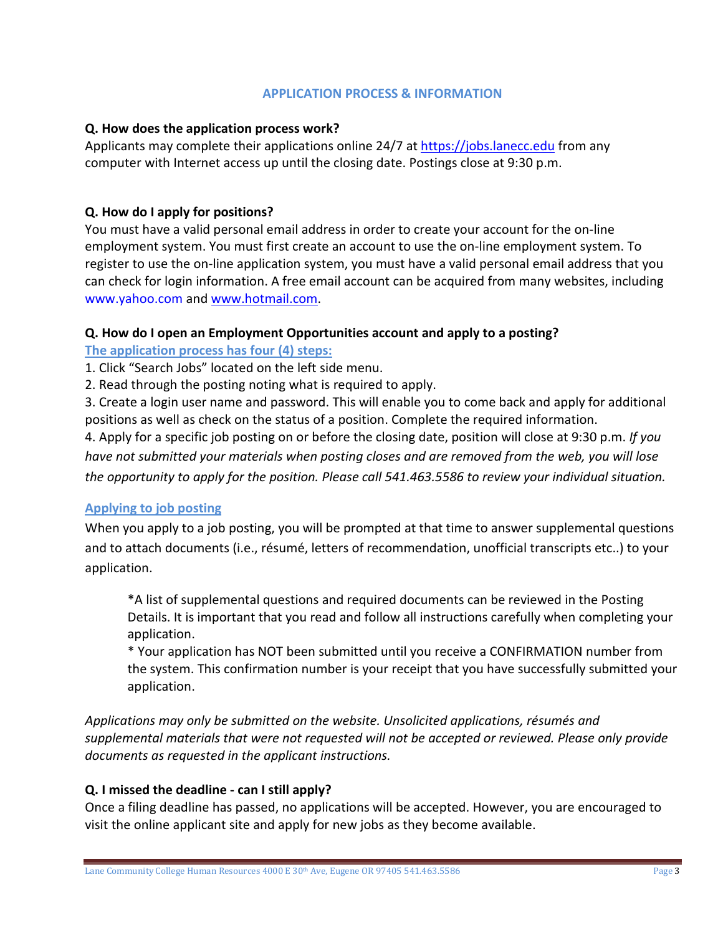#### **APPLICATION PROCESS & INFORMATION**

#### **Q. How does the application process work?**

Applicants may complete their applications online 24/7 at [https://jobs.lanecc.edu](https://jobs.lanecc.edu/) from any computer with Internet access up until the closing date. Postings close at 9:30 p.m.

## **Q. How do I apply for positions?**

You must have a valid personal email address in order to create your account for the on-line employment system. You must first create an account to use the on-line employment system. To register to use the on-line application system, you must have a valid personal email address that you can check for login information. A free email account can be acquired from many websites, including www.yahoo.com an[d www.hotmail.com.](http://www.hotmail.com/)

#### **Q. How do I open an Employment Opportunities account and apply to a posting?**

**The application process has four (4) steps:**

1. Click "Search Jobs" located on the left side menu.

2. Read through the posting noting what is required to apply.

3. Create a login user name and password. This will enable you to come back and apply for additional positions as well as check on the status of a position. Complete the required information.

4. Apply for a specific job posting on or before the closing date, position will close at 9:30 p.m. *If you have not submitted your materials when posting closes and are removed from the web, you will lose the opportunity to apply for the position. Please call 541.463.5586 to review your individual situation.*

# **Applying to job posting**

When you apply to a job posting, you will be prompted at that time to answer supplemental questions and to attach documents (i.e., résumé, letters of recommendation, unofficial transcripts etc..) to your application.

\*A list of supplemental questions and required documents can be reviewed in the Posting Details. It is important that you read and follow all instructions carefully when completing your application.

\* Your application has NOT been submitted until you receive a CONFIRMATION number from the system. This confirmation number is your receipt that you have successfully submitted your application.

*Applications may only be submitted on the website. Unsolicited applications, résumés and supplemental materials that were not requested will not be accepted or reviewed. Please only provide documents as requested in the applicant instructions.*

# **Q. I missed the deadline - can I still apply?**

Once a filing deadline has passed, no applications will be accepted. However, you are encouraged to visit the online applicant site and apply for new jobs as they become available.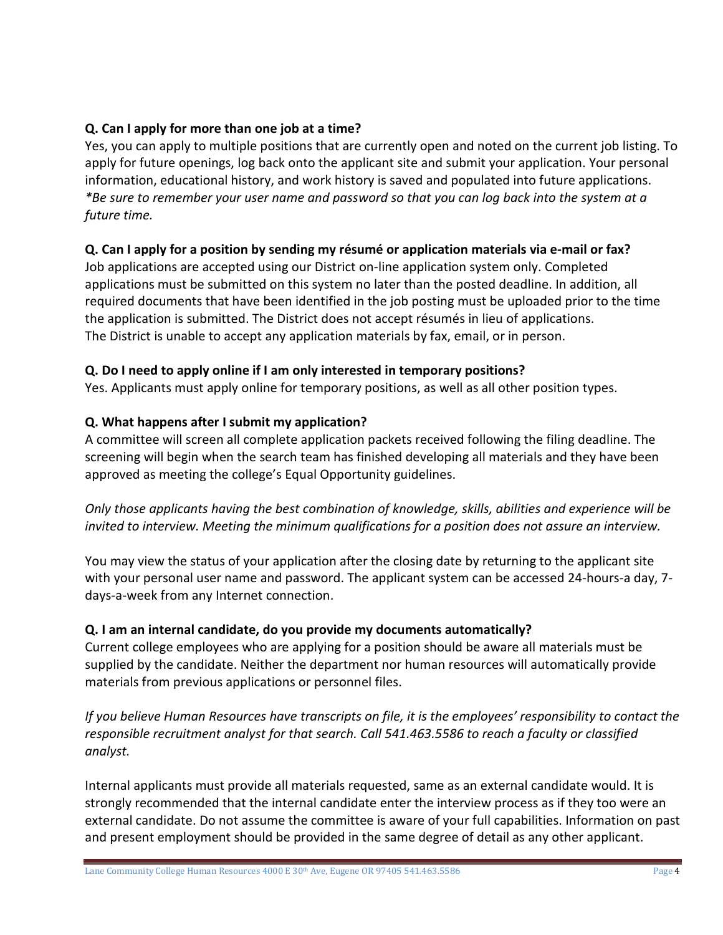# **Q. Can I apply for more than one job at a time?**

Yes, you can apply to multiple positions that are currently open and noted on the current job listing. To apply for future openings, log back onto the applicant site and submit your application. Your personal information, educational history, and work history is saved and populated into future applications. *\*Be sure to remember your user name and password so that you can log back into the system at a future time.*

# **Q. Can I apply for a position by sending my résumé or application materials via e-mail or fax?**

Job applications are accepted using our District on-line application system only. Completed applications must be submitted on this system no later than the posted deadline. In addition, all required documents that have been identified in the job posting must be uploaded prior to the time the application is submitted. The District does not accept résumés in lieu of applications. The District is unable to accept any application materials by fax, email, or in person.

# **Q. Do I need to apply online if I am only interested in temporary positions?**

Yes. Applicants must apply online for temporary positions, as well as all other position types.

# **Q. What happens after I submit my application?**

A committee will screen all complete application packets received following the filing deadline. The screening will begin when the search team has finished developing all materials and they have been approved as meeting the college's Equal Opportunity guidelines.

*Only those applicants having the best combination of knowledge, skills, abilities and experience will be invited to interview. Meeting the minimum qualifications for a position does not assure an interview.*

You may view the status of your application after the closing date by returning to the applicant site with your personal user name and password. The applicant system can be accessed 24-hours-a day, 7 days-a-week from any Internet connection.

# **Q. I am an internal candidate, do you provide my documents automatically?**

Current college employees who are applying for a position should be aware all materials must be supplied by the candidate. Neither the department nor human resources will automatically provide materials from previous applications or personnel files.

*If you believe Human Resources have transcripts on file, it is the employees' responsibility to contact the responsible recruitment analyst for that search. Call 541.463.5586 to reach a faculty or classified analyst.* 

Internal applicants must provide all materials requested, same as an external candidate would. It is strongly recommended that the internal candidate enter the interview process as if they too were an external candidate. Do not assume the committee is aware of your full capabilities. Information on past and present employment should be provided in the same degree of detail as any other applicant.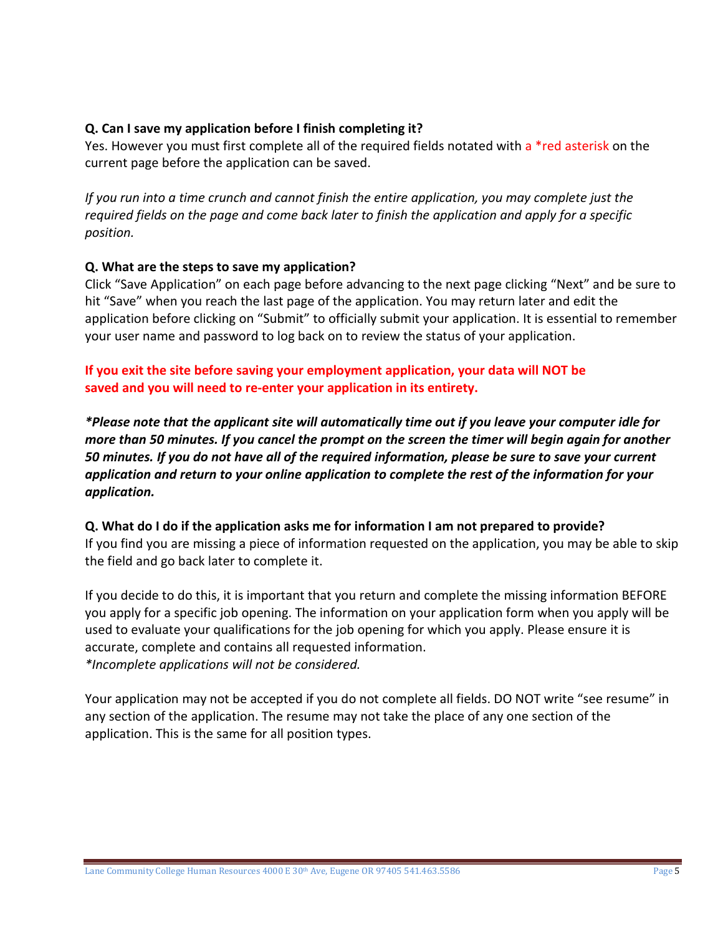## **Q. Can I save my application before I finish completing it?**

Yes. However you must first complete all of the required fields notated with a \*red asterisk on the current page before the application can be saved.

*If you run into a time crunch and cannot finish the entire application, you may complete just the required fields on the page and come back later to finish the application and apply for a specific position.*

#### **Q. What are the steps to save my application?**

Click "Save Application" on each page before advancing to the next page clicking "Next" and be sure to hit "Save" when you reach the last page of the application. You may return later and edit the application before clicking on "Submit" to officially submit your application. It is essential to remember your user name and password to log back on to review the status of your application.

**If you exit the site before saving your employment application, your data will NOT be saved and you will need to re-enter your application in its entirety.** 

*\*Please note that the applicant site will automatically time out if you leave your computer idle for more than 50 minutes. If you cancel the prompt on the screen the timer will begin again for another 50 minutes. If you do not have all of the required information, please be sure to save your current application and return to your online application to complete the rest of the information for your application.*

**Q. What do I do if the application asks me for information I am not prepared to provide?** If you find you are missing a piece of information requested on the application, you may be able to skip the field and go back later to complete it.

If you decide to do this, it is important that you return and complete the missing information BEFORE you apply for a specific job opening. The information on your application form when you apply will be used to evaluate your qualifications for the job opening for which you apply. Please ensure it is accurate, complete and contains all requested information. *\*Incomplete applications will not be considered.*

Your application may not be accepted if you do not complete all fields. DO NOT write "see resume" in any section of the application. The resume may not take the place of any one section of the application. This is the same for all position types.